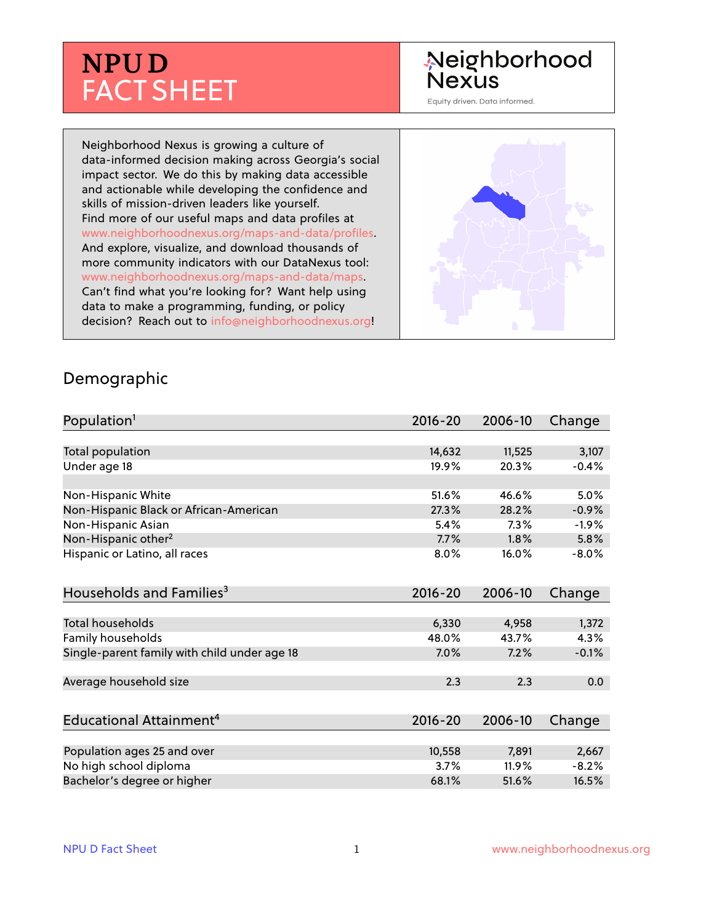# **NPU D** FACT SHEET

## Neighborhood **Nexus**

Equity driven. Data informed.

Neighborhood Nexus is growing a culture of data-informed decision making across Georgia's social impact sector. We do this by making data accessible and actionable while developing the confidence and skills of mission-driven leaders like yourself. Find more of our useful maps and data profiles at www.neighborhoodnexus.org/maps-and-data/profiles. And explore, visualize, and download thousands of more community indicators with our DataNexus tool: www.neighborhoodnexus.org/maps-and-data/maps. Can't find what you're looking for? Want help using data to make a programming, funding, or policy decision? Reach out to [info@neighborhoodnexus.org!](mailto:info@neighborhoodnexus.org)



#### Demographic

| Population <sup>1</sup>                      | $2016 - 20$ | 2006-10 | Change   |
|----------------------------------------------|-------------|---------|----------|
|                                              |             |         |          |
| Total population                             | 14,632      | 11,525  | 3,107    |
| Under age 18                                 | 19.9%       | 20.3%   | $-0.4%$  |
|                                              |             |         |          |
| Non-Hispanic White                           | 51.6%       | 46.6%   | 5.0%     |
| Non-Hispanic Black or African-American       | 27.3%       | 28.2%   | $-0.9%$  |
| Non-Hispanic Asian                           | 5.4%        | 7.3%    | $-1.9%$  |
| Non-Hispanic other <sup>2</sup>              | 7.7%        | 1.8%    | 5.8%     |
| Hispanic or Latino, all races                | 8.0%        | 16.0%   | $-8.0\%$ |
| Households and Families <sup>3</sup>         | $2016 - 20$ | 2006-10 | Change   |
|                                              |             |         |          |
| <b>Total households</b>                      | 6,330       | 4,958   | 1,372    |
| Family households                            | 48.0%       | 43.7%   | 4.3%     |
| Single-parent family with child under age 18 | 7.0%        | 7.2%    | $-0.1%$  |
| Average household size                       | 2.3         | 2.3     | 0.0      |
| Educational Attainment <sup>4</sup>          | $2016 - 20$ | 2006-10 | Change   |
|                                              |             |         |          |
| Population ages 25 and over                  | 10,558      | 7,891   | 2,667    |
| No high school diploma                       | 3.7%        | 11.9%   | $-8.2%$  |
| Bachelor's degree or higher                  | 68.1%       | 51.6%   | 16.5%    |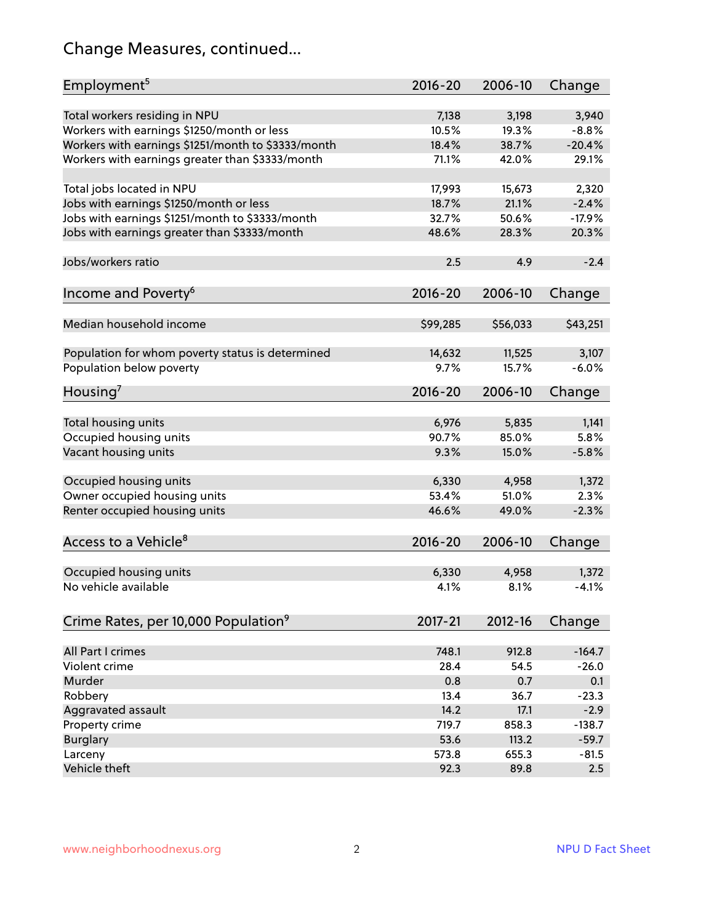## Change Measures, continued...

| Employment <sup>5</sup>                            | $2016 - 20$ | 2006-10  | Change   |
|----------------------------------------------------|-------------|----------|----------|
|                                                    |             |          |          |
| Total workers residing in NPU                      | 7,138       | 3,198    | 3,940    |
| Workers with earnings \$1250/month or less         | 10.5%       | 19.3%    | $-8.8%$  |
| Workers with earnings \$1251/month to \$3333/month | 18.4%       | 38.7%    | $-20.4%$ |
| Workers with earnings greater than \$3333/month    | 71.1%       | 42.0%    | 29.1%    |
| Total jobs located in NPU                          | 17,993      | 15,673   | 2,320    |
| Jobs with earnings \$1250/month or less            | 18.7%       | 21.1%    | $-2.4%$  |
| Jobs with earnings \$1251/month to \$3333/month    | 32.7%       | 50.6%    | $-17.9%$ |
| Jobs with earnings greater than \$3333/month       | 48.6%       | 28.3%    | 20.3%    |
|                                                    |             |          |          |
| Jobs/workers ratio                                 | 2.5         | 4.9      | $-2.4$   |
|                                                    | $2016 - 20$ | 2006-10  | Change   |
| Income and Poverty <sup>6</sup>                    |             |          |          |
| Median household income                            | \$99,285    | \$56,033 | \$43,251 |
|                                                    |             |          |          |
| Population for whom poverty status is determined   | 14,632      | 11,525   | 3,107    |
| Population below poverty                           | 9.7%        | 15.7%    | $-6.0%$  |
|                                                    |             |          |          |
| Housing <sup>7</sup>                               | $2016 - 20$ | 2006-10  | Change   |
| Total housing units                                | 6,976       | 5,835    | 1,141    |
| Occupied housing units                             | 90.7%       | 85.0%    | 5.8%     |
| Vacant housing units                               | 9.3%        | 15.0%    | $-5.8%$  |
|                                                    |             |          |          |
| Occupied housing units                             | 6,330       | 4,958    | 1,372    |
| Owner occupied housing units                       | 53.4%       | 51.0%    | 2.3%     |
| Renter occupied housing units                      | 46.6%       | 49.0%    | $-2.3%$  |
|                                                    |             |          |          |
| Access to a Vehicle <sup>8</sup>                   | $2016 - 20$ | 2006-10  | Change   |
|                                                    |             |          |          |
| Occupied housing units                             | 6,330       | 4,958    | 1,372    |
| No vehicle available                               | 4.1%        | 8.1%     | $-4.1%$  |
|                                                    |             |          |          |
| Crime Rates, per 10,000 Population <sup>9</sup>    | $2017 - 21$ | 2012-16  | Change   |
|                                                    |             |          |          |
| All Part I crimes                                  | 748.1       | 912.8    | $-164.7$ |
| Violent crime                                      | 28.4        | 54.5     | $-26.0$  |
| Murder                                             | 0.8         | 0.7      | 0.1      |
| Robbery                                            | 13.4        | 36.7     | $-23.3$  |
| Aggravated assault                                 | 14.2        | 17.1     | $-2.9$   |
| Property crime                                     | 719.7       | 858.3    | $-138.7$ |
| <b>Burglary</b>                                    | 53.6        | 113.2    | $-59.7$  |
| Larceny                                            | 573.8       | 655.3    | $-81.5$  |
| Vehicle theft                                      | 92.3        | 89.8     | 2.5      |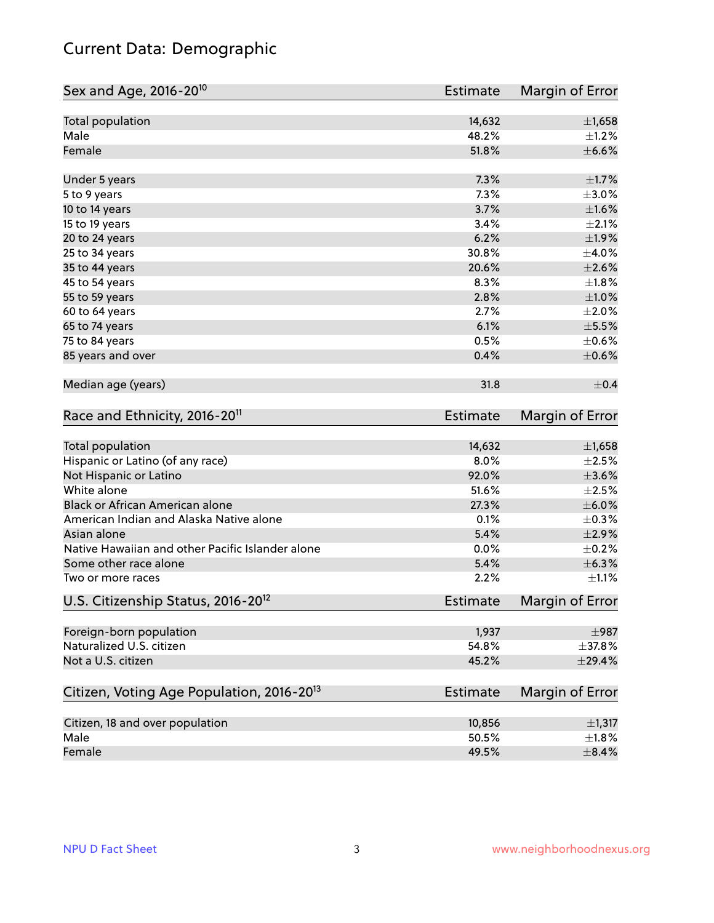## Current Data: Demographic

| Sex and Age, 2016-20 <sup>10</sup>                    | Estimate        | Margin of Error |
|-------------------------------------------------------|-----------------|-----------------|
| Total population                                      | 14,632          | $\pm$ 1,658     |
| Male                                                  | 48.2%           | $\pm 1.2\%$     |
| Female                                                | 51.8%           | $\pm$ 6.6%      |
| Under 5 years                                         | 7.3%            | $\pm1.7\%$      |
| 5 to 9 years                                          | 7.3%            | $\pm 3.0\%$     |
| 10 to 14 years                                        | 3.7%            | $\pm1.6\%$      |
| 15 to 19 years                                        | 3.4%            | $\pm 2.1\%$     |
| 20 to 24 years                                        | 6.2%            | ±1.9%           |
| 25 to 34 years                                        | 30.8%           | $\pm$ 4.0%      |
| 35 to 44 years                                        | 20.6%           | $\pm 2.6\%$     |
| 45 to 54 years                                        | 8.3%            | $\pm1.8\%$      |
| 55 to 59 years                                        | 2.8%            | $\pm 1.0\%$     |
| 60 to 64 years                                        | 2.7%            | $\pm 2.0\%$     |
| 65 to 74 years                                        | 6.1%            | $\pm$ 5.5%      |
| 75 to 84 years                                        | 0.5%            | $\pm$ 0.6%      |
| 85 years and over                                     | 0.4%            | $\pm$ 0.6%      |
| Median age (years)                                    | 31.8            | $\pm$ 0.4       |
| Race and Ethnicity, 2016-20 <sup>11</sup>             | <b>Estimate</b> | Margin of Error |
| Total population                                      | 14,632          | $\pm$ 1,658     |
| Hispanic or Latino (of any race)                      | 8.0%            | $\pm 2.5\%$     |
| Not Hispanic or Latino                                | 92.0%           | $\pm 3.6\%$     |
| White alone                                           | 51.6%           | $\pm 2.5\%$     |
| Black or African American alone                       | 27.3%           | $\pm$ 6.0%      |
| American Indian and Alaska Native alone               | 0.1%            | $\pm$ 0.3%      |
| Asian alone                                           | 5.4%            | $\pm 2.9\%$     |
| Native Hawaiian and other Pacific Islander alone      | 0.0%            | $\pm$ 0.2%      |
| Some other race alone                                 | 5.4%            | ±6.3%           |
| Two or more races                                     | 2.2%            | $\pm 1.1\%$     |
| U.S. Citizenship Status, 2016-20 <sup>12</sup>        | <b>Estimate</b> | Margin of Error |
| Foreign-born population                               | 1,937           | $\pm$ 987       |
| Naturalized U.S. citizen                              | 54.8%           | ±37.8%          |
| Not a U.S. citizen                                    | 45.2%           | ±29.4%          |
| Citizen, Voting Age Population, 2016-20 <sup>13</sup> | Estimate        | Margin of Error |
| Citizen, 18 and over population                       | 10,856          | $\pm$ 1,317     |
| Male                                                  | 50.5%           | $\pm 1.8\%$     |
| Female                                                | 49.5%           | $\pm$ 8.4%      |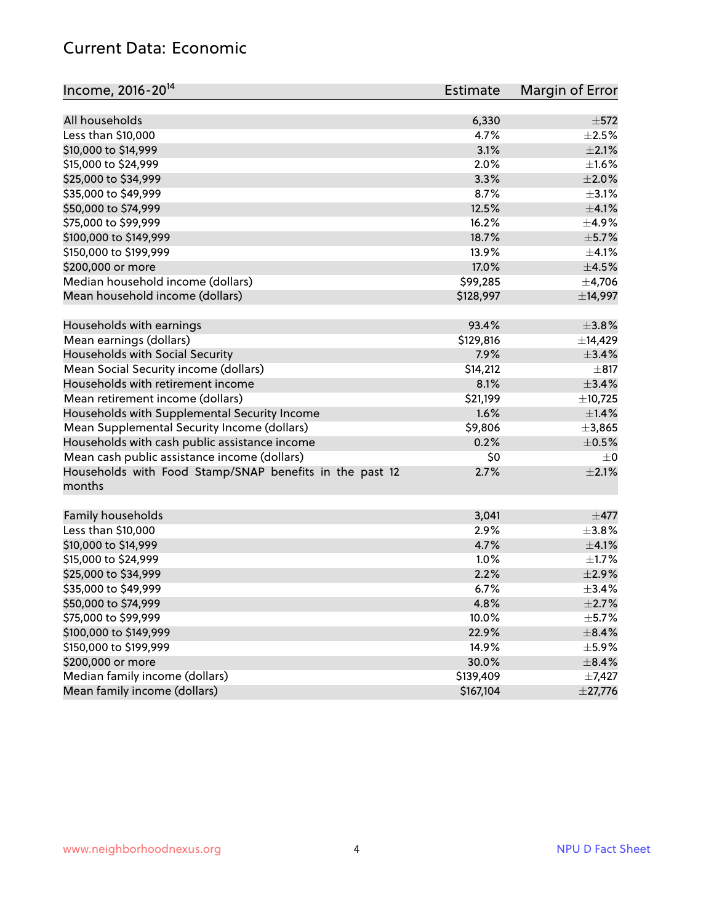#### Current Data: Economic

| Income, 2016-20 <sup>14</sup>                                     | Estimate  | Margin of Error |
|-------------------------------------------------------------------|-----------|-----------------|
|                                                                   |           |                 |
| All households                                                    | 6,330     | $\pm$ 572       |
| Less than \$10,000                                                | 4.7%      | $\pm 2.5\%$     |
| \$10,000 to \$14,999                                              | 3.1%      | $\pm 2.1\%$     |
| \$15,000 to \$24,999                                              | 2.0%      | $\pm1.6\%$      |
| \$25,000 to \$34,999                                              | 3.3%      | $\pm 2.0\%$     |
| \$35,000 to \$49,999                                              | 8.7%      | $\pm$ 3.1%      |
| \$50,000 to \$74,999                                              | 12.5%     | $\pm$ 4.1%      |
| \$75,000 to \$99,999                                              | 16.2%     | $\pm$ 4.9%      |
| \$100,000 to \$149,999                                            | 18.7%     | $\pm$ 5.7%      |
| \$150,000 to \$199,999                                            | 13.9%     | $\pm 4.1\%$     |
| \$200,000 or more                                                 | 17.0%     | $\pm$ 4.5%      |
| Median household income (dollars)                                 | \$99,285  | ±4,706          |
| Mean household income (dollars)                                   | \$128,997 | ±14,997         |
| Households with earnings                                          | 93.4%     | $\pm$ 3.8%      |
| Mean earnings (dollars)                                           | \$129,816 | ±14,429         |
| Households with Social Security                                   | 7.9%      | ±3.4%           |
| Mean Social Security income (dollars)                             | \$14,212  | $\pm$ 817       |
| Households with retirement income                                 | 8.1%      | $\pm$ 3.4%      |
| Mean retirement income (dollars)                                  | \$21,199  | ±10,725         |
| Households with Supplemental Security Income                      | 1.6%      | $\pm$ 1.4%      |
| Mean Supplemental Security Income (dollars)                       | \$9,806   | ±3,865          |
| Households with cash public assistance income                     | 0.2%      | $\pm$ 0.5%      |
| Mean cash public assistance income (dollars)                      | \$0       | $\pm$ 0         |
| Households with Food Stamp/SNAP benefits in the past 12<br>months | 2.7%      | $\pm 2.1\%$     |
| Family households                                                 | 3,041     | $\pm$ 477       |
| Less than \$10,000                                                | 2.9%      | $\pm$ 3.8%      |
| \$10,000 to \$14,999                                              | 4.7%      | $\pm 4.1\%$     |
| \$15,000 to \$24,999                                              | 1.0%      | $\pm 1.7\%$     |
| \$25,000 to \$34,999                                              | 2.2%      | $\pm 2.9\%$     |
| \$35,000 to \$49,999                                              | 6.7%      | ±3.4%           |
| \$50,000 to \$74,999                                              | 4.8%      | $\pm 2.7\%$     |
| \$75,000 to \$99,999                                              | 10.0%     | $\pm$ 5.7%      |
| \$100,000 to \$149,999                                            | 22.9%     | $\pm$ 8.4%      |
| \$150,000 to \$199,999                                            | 14.9%     | $\pm$ 5.9%      |
| \$200,000 or more                                                 | 30.0%     | $\pm$ 8.4%      |
| Median family income (dollars)                                    | \$139,409 | $\pm$ 7,427     |
| Mean family income (dollars)                                      | \$167,104 | $\pm$ 27,776    |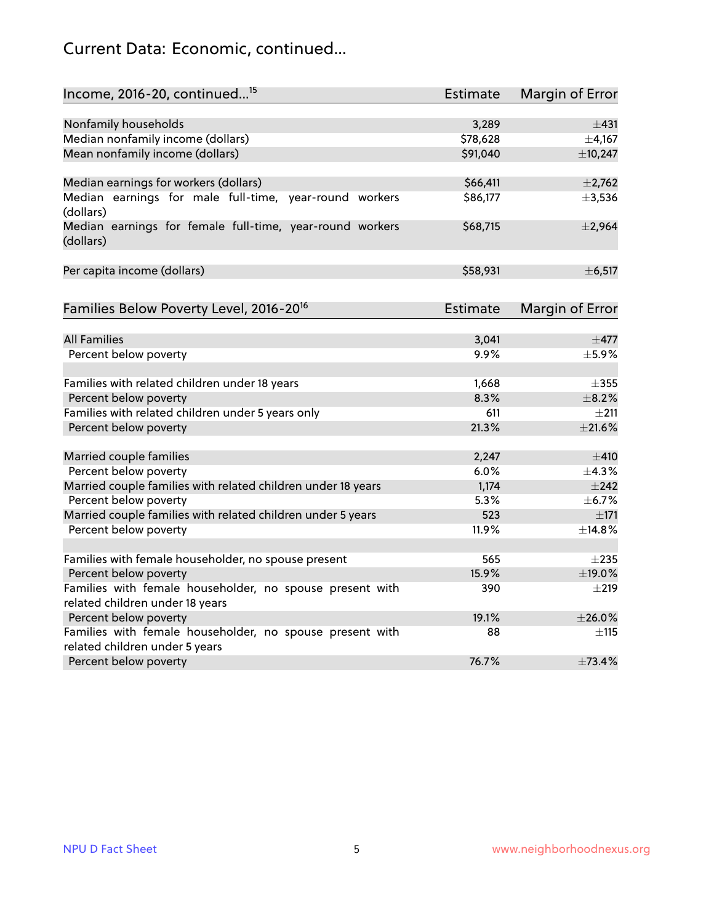## Current Data: Economic, continued...

| Income, 2016-20, continued <sup>15</sup>                              | <b>Estimate</b> | <b>Margin of Error</b> |
|-----------------------------------------------------------------------|-----------------|------------------------|
|                                                                       |                 |                        |
| Nonfamily households                                                  | 3,289           | ±431                   |
| Median nonfamily income (dollars)                                     | \$78,628        | ±4,167                 |
| Mean nonfamily income (dollars)                                       | \$91,040        | ±10,247                |
| Median earnings for workers (dollars)                                 | \$66,411        | ±2,762                 |
| Median earnings for male full-time, year-round workers<br>(dollars)   | \$86,177        | ±3,536                 |
| Median earnings for female full-time, year-round workers<br>(dollars) | \$68,715        | ±2,964                 |
| Per capita income (dollars)                                           | \$58,931        | ±6,517                 |
| Families Below Poverty Level, 2016-20 <sup>16</sup>                   | <b>Estimate</b> | <b>Margin of Error</b> |
|                                                                       |                 |                        |
| <b>All Families</b>                                                   | 3,041           | $\pm$ 477              |
| Percent below poverty                                                 | 9.9%            | $\pm$ 5.9%             |
| Families with related children under 18 years                         | 1,668           | $\pm$ 355              |
| Percent below poverty                                                 | 8.3%            | $\pm$ 8.2%             |
| Families with related children under 5 years only                     | 611             | $\pm 211$              |
| Percent below poverty                                                 | 21.3%           | $\pm 21.6\%$           |
| Married couple families                                               | 2,247           | $\pm$ 410              |
| Percent below poverty                                                 | 6.0%            | ±4.3%                  |
| Married couple families with related children under 18 years          | 1,174           | ±242                   |
| Percent below poverty                                                 | 5.3%            | ±6.7%                  |
| Married couple families with related children under 5 years           | 523             | ±171                   |
| Percent below poverty                                                 | 11.9%           | ±14.8%                 |
| Families with female householder, no spouse present                   | 565             | $\pm 235$              |
| Percent below poverty                                                 | 15.9%           | ±19.0%                 |
| Families with female householder, no spouse present with              | 390             | $\pm 219$              |
| related children under 18 years                                       |                 |                        |
| Percent below poverty                                                 | 19.1%           | ±26.0%                 |
| Families with female householder, no spouse present with              | 88              | $\pm$ 115              |
| related children under 5 years                                        |                 |                        |
| Percent below poverty                                                 | 76.7%           | ±73.4%                 |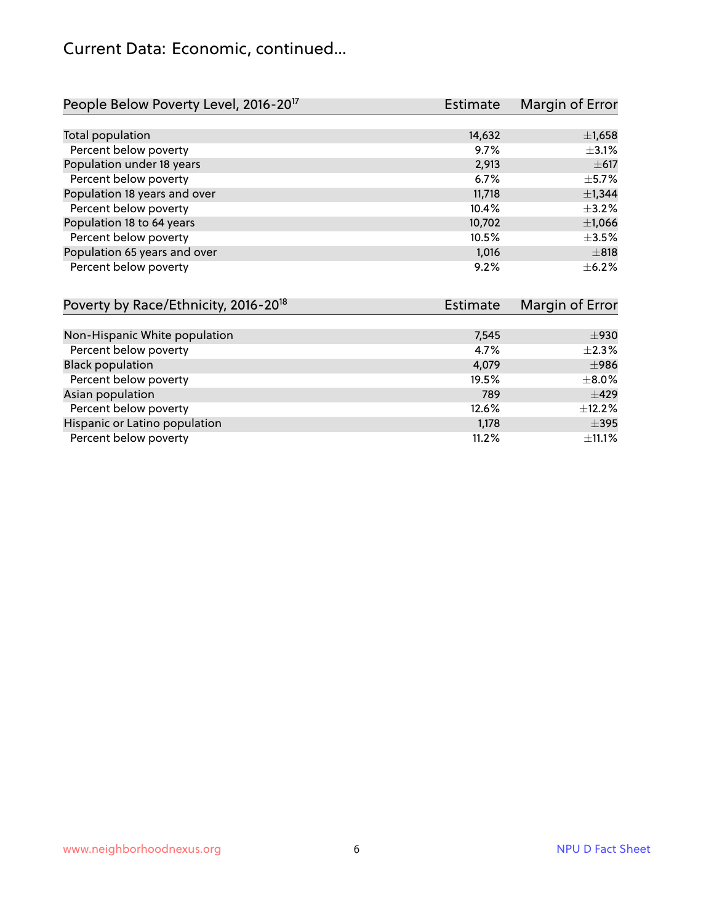## Current Data: Economic, continued...

| People Below Poverty Level, 2016-20 <sup>17</sup> | <b>Estimate</b> | Margin of Error |
|---------------------------------------------------|-----------------|-----------------|
|                                                   |                 |                 |
| Total population                                  | 14,632          | $\pm$ 1,658     |
| Percent below poverty                             | 9.7%            | $\pm$ 3.1%      |
| Population under 18 years                         | 2,913           | $\pm 617$       |
| Percent below poverty                             | 6.7%            | $\pm$ 5.7%      |
| Population 18 years and over                      | 11,718          | ±1,344          |
| Percent below poverty                             | 10.4%           | $+3.2%$         |
| Population 18 to 64 years                         | 10,702          | $\pm$ 1,066     |
| Percent below poverty                             | 10.5%           | $\pm$ 3.5%      |
| Population 65 years and over                      | 1,016           | $\pm 818$       |
| Percent below poverty                             | 9.2%            | $+6.2%$         |

| Poverty by Race/Ethnicity, 2016-20 <sup>18</sup> | <b>Estimate</b> | Margin of Error |
|--------------------------------------------------|-----------------|-----------------|
|                                                  |                 |                 |
| Non-Hispanic White population                    | 7,545           | ±930            |
| Percent below poverty                            | 4.7%            | $\pm 2.3\%$     |
| <b>Black population</b>                          | 4,079           | $\pm$ 986       |
| Percent below poverty                            | 19.5%           | $\pm$ 8.0%      |
| Asian population                                 | 789             | $\pm 429$       |
| Percent below poverty                            | 12.6%           | $\pm$ 12.2%     |
| Hispanic or Latino population                    | 1,178           | $\pm$ 395       |
| Percent below poverty                            | 11.2%           | ±11.1%          |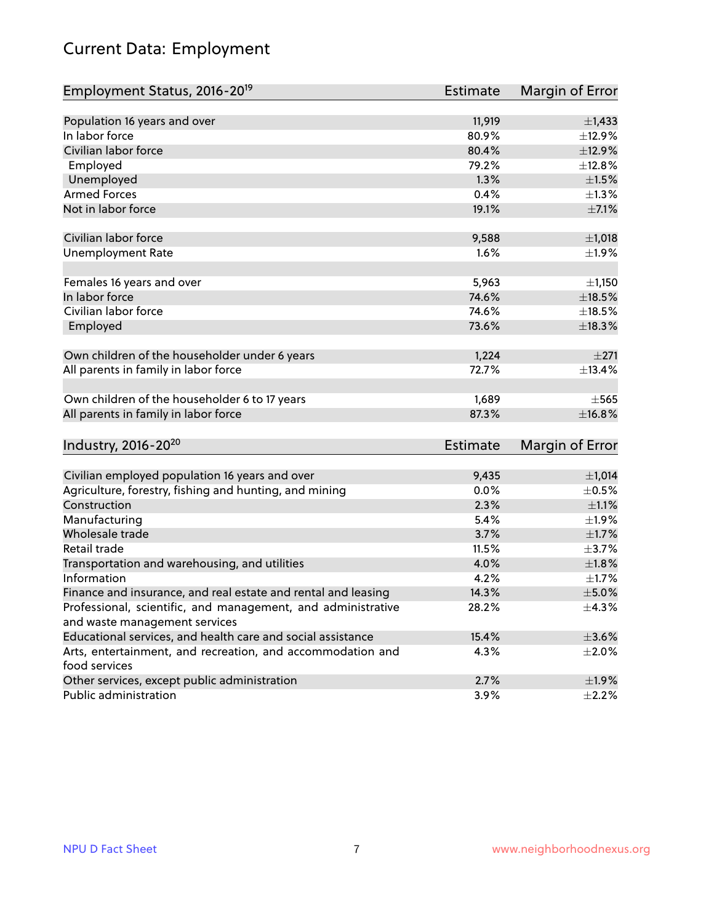## Current Data: Employment

| Employment Status, 2016-20 <sup>19</sup>                      | <b>Estimate</b> | Margin of Error |
|---------------------------------------------------------------|-----------------|-----------------|
|                                                               |                 |                 |
| Population 16 years and over                                  | 11,919          | $\pm$ 1,433     |
| In labor force                                                | 80.9%           | ±12.9%          |
| Civilian labor force                                          | 80.4%           | ±12.9%          |
| Employed                                                      | 79.2%           | ±12.8%          |
| Unemployed                                                    | 1.3%            | $\pm 1.5\%$     |
| <b>Armed Forces</b>                                           | 0.4%            | $\pm 1.3\%$     |
| Not in labor force                                            | 19.1%           | $\pm$ 7.1%      |
| Civilian labor force                                          |                 |                 |
|                                                               | 9,588           | ±1,018          |
| <b>Unemployment Rate</b>                                      | 1.6%            | ±1.9%           |
| Females 16 years and over                                     | 5,963           | ±1,150          |
| In labor force                                                | 74.6%           | $\pm$ 18.5%     |
| Civilian labor force                                          | 74.6%           | $\pm$ 18.5%     |
| Employed                                                      | 73.6%           | ±18.3%          |
|                                                               |                 |                 |
| Own children of the householder under 6 years                 | 1,224           | ±271            |
| All parents in family in labor force                          | 72.7%           | ±13.4%          |
|                                                               |                 |                 |
| Own children of the householder 6 to 17 years                 | 1,689           | $+565$          |
| All parents in family in labor force                          | 87.3%           | ±16.8%          |
|                                                               |                 |                 |
| Industry, 2016-20 <sup>20</sup>                               | Estimate        | Margin of Error |
|                                                               |                 |                 |
| Civilian employed population 16 years and over                | 9,435           | $\pm$ 1,014     |
| Agriculture, forestry, fishing and hunting, and mining        | 0.0%            | $\pm$ 0.5%      |
| Construction                                                  | 2.3%            | $\pm 1.1\%$     |
| Manufacturing                                                 | 5.4%            | ±1.9%           |
| Wholesale trade                                               | 3.7%            | $\pm1.7\%$      |
| Retail trade                                                  | 11.5%           | $\pm$ 3.7%      |
| Transportation and warehousing, and utilities                 | 4.0%            | ±1.8%           |
| Information                                                   | 4.2%            | $\pm1.7\%$      |
| Finance and insurance, and real estate and rental and leasing | 14.3%           | $\pm$ 5.0%      |
| Professional, scientific, and management, and administrative  | 28.2%           | $\pm$ 4.3%      |
| and waste management services                                 |                 |                 |
| Educational services, and health care and social assistance   | 15.4%           | $\pm 3.6\%$     |
| Arts, entertainment, and recreation, and accommodation and    | 4.3%            | $\pm 2.0\%$     |
| food services                                                 |                 |                 |
| Other services, except public administration                  | 2.7%            | ±1.9%           |
| Public administration                                         | 3.9%            | $\pm$ 2.2%      |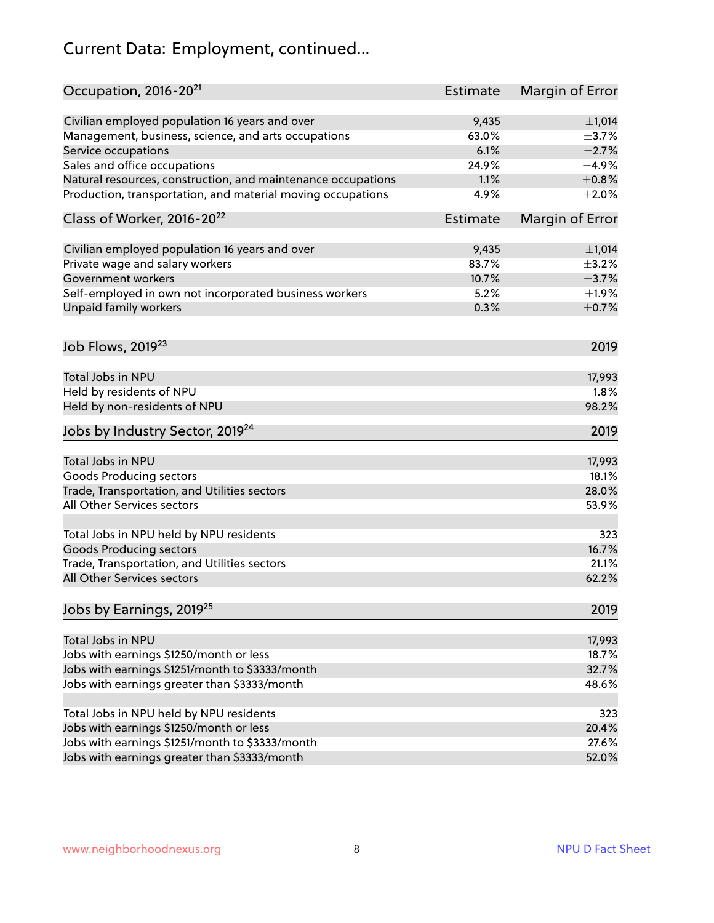## Current Data: Employment, continued...

| Occupation, 2016-20 <sup>21</sup>                            | <b>Estimate</b> | Margin of Error |
|--------------------------------------------------------------|-----------------|-----------------|
| Civilian employed population 16 years and over               | 9,435           | $\pm$ 1,014     |
| Management, business, science, and arts occupations          | 63.0%           | $\pm$ 3.7%      |
| Service occupations                                          | 6.1%            | $\pm 2.7\%$     |
| Sales and office occupations                                 | 24.9%           | $\pm$ 4.9%      |
| Natural resources, construction, and maintenance occupations | 1.1%            | $\pm$ 0.8%      |
| Production, transportation, and material moving occupations  | 4.9%            | $\pm 2.0\%$     |
| Class of Worker, 2016-20 <sup>22</sup>                       | <b>Estimate</b> | Margin of Error |
| Civilian employed population 16 years and over               | 9,435           | $\pm$ 1,014     |
| Private wage and salary workers                              | 83.7%           | $\pm$ 3.2%      |
| <b>Government workers</b>                                    | 10.7%           | $\pm$ 3.7%      |
| Self-employed in own not incorporated business workers       | 5.2%            | $\pm 1.9\%$     |
| Unpaid family workers                                        | 0.3%            | $\pm$ 0.7%      |
| Job Flows, 2019 <sup>23</sup>                                |                 | 2019            |
| <b>Total Jobs in NPU</b>                                     |                 | 17,993          |
| Held by residents of NPU                                     |                 | 1.8%            |
| Held by non-residents of NPU                                 |                 | 98.2%           |
| Jobs by Industry Sector, 2019 <sup>24</sup>                  |                 | 2019            |
| Total Jobs in NPU                                            |                 | 17,993          |
| <b>Goods Producing sectors</b>                               |                 | 18.1%           |
| Trade, Transportation, and Utilities sectors                 |                 | 28.0%           |
| All Other Services sectors                                   |                 | 53.9%           |
| Total Jobs in NPU held by NPU residents                      |                 | 323             |
| <b>Goods Producing sectors</b>                               |                 | 16.7%           |
| Trade, Transportation, and Utilities sectors                 |                 | 21.1%           |
| All Other Services sectors                                   |                 | 62.2%           |
| Jobs by Earnings, 2019 <sup>25</sup>                         |                 | 2019            |
| Total Jobs in NPU                                            |                 | 17,993          |
| Jobs with earnings \$1250/month or less                      |                 | 18.7%           |
| Jobs with earnings \$1251/month to \$3333/month              |                 | 32.7%           |
| Jobs with earnings greater than \$3333/month                 |                 | 48.6%           |
| Total Jobs in NPU held by NPU residents                      |                 | 323             |
| Jobs with earnings \$1250/month or less                      |                 | 20.4%           |
| Jobs with earnings \$1251/month to \$3333/month              |                 | 27.6%           |
| Jobs with earnings greater than \$3333/month                 |                 | 52.0%           |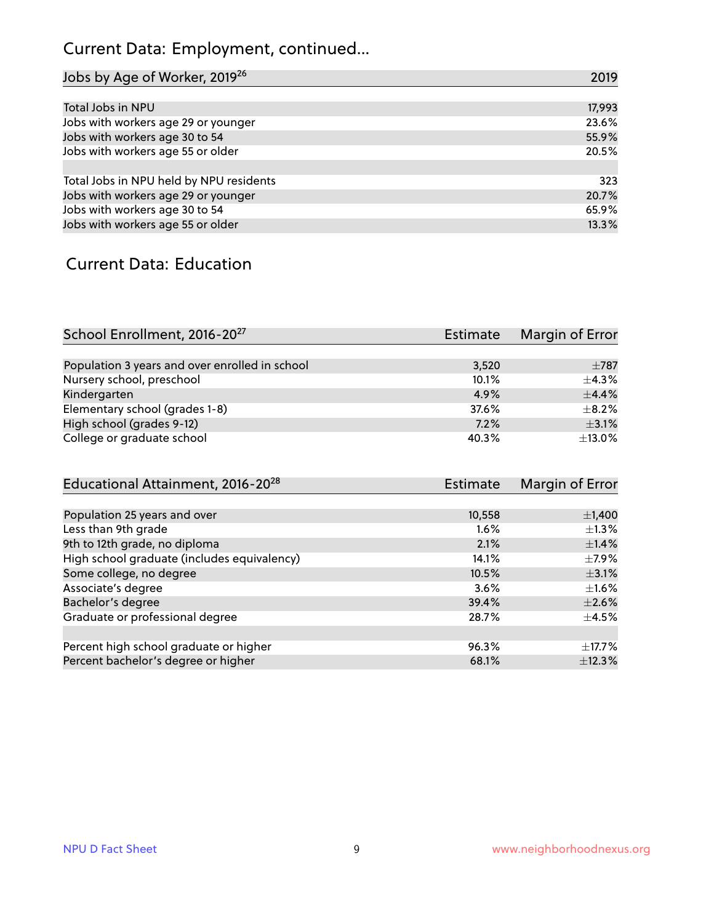## Current Data: Employment, continued...

| Jobs by Age of Worker, 2019 <sup>26</sup> | 2019   |
|-------------------------------------------|--------|
|                                           |        |
| Total Jobs in NPU                         | 17,993 |
| Jobs with workers age 29 or younger       | 23.6%  |
| Jobs with workers age 30 to 54            | 55.9%  |
| Jobs with workers age 55 or older         | 20.5%  |
|                                           |        |
| Total Jobs in NPU held by NPU residents   | 323    |
| Jobs with workers age 29 or younger       | 20.7%  |
| Jobs with workers age 30 to 54            | 65.9%  |
| Jobs with workers age 55 or older         | 13.3%  |

#### Current Data: Education

| School Enrollment, 2016-20 <sup>27</sup>       | <b>Estimate</b> | Margin of Error |
|------------------------------------------------|-----------------|-----------------|
|                                                |                 |                 |
| Population 3 years and over enrolled in school | 3,520           | $\pm 787$       |
| Nursery school, preschool                      | 10.1%           | $+4.3%$         |
| Kindergarten                                   | 4.9%            | $+4.4%$         |
| Elementary school (grades 1-8)                 | 37.6%           | $+8.2%$         |
| High school (grades 9-12)                      | 7.2%            | $\pm$ 3.1%      |
| College or graduate school                     | 40.3%           | $\pm$ 13.0%     |

| Educational Attainment, 2016-20 <sup>28</sup> | <b>Estimate</b> | Margin of Error |
|-----------------------------------------------|-----------------|-----------------|
|                                               |                 |                 |
| Population 25 years and over                  | 10,558          | $\pm$ 1,400     |
| Less than 9th grade                           | $1.6\%$         | $\pm 1.3\%$     |
| 9th to 12th grade, no diploma                 | 2.1%            | $\pm$ 1.4%      |
| High school graduate (includes equivalency)   | 14.1%           | $\pm$ 7.9%      |
| Some college, no degree                       | 10.5%           | $\pm$ 3.1%      |
| Associate's degree                            | $3.6\%$         | $\pm 1.6\%$     |
| Bachelor's degree                             | 39.4%           | $\pm 2.6\%$     |
| Graduate or professional degree               | 28.7%           | $\pm$ 4.5%      |
|                                               |                 |                 |
| Percent high school graduate or higher        | 96.3%           | $\pm$ 17.7%     |
| Percent bachelor's degree or higher           | 68.1%           | ±12.3%          |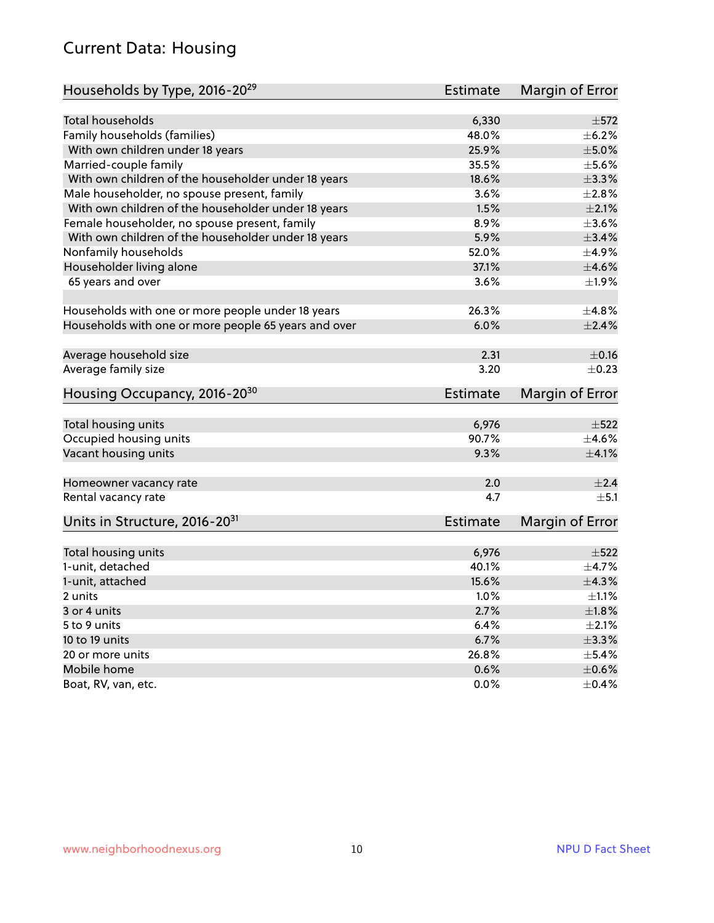#### Current Data: Housing

| Households by Type, 2016-20 <sup>29</sup>            | <b>Estimate</b> | Margin of Error |
|------------------------------------------------------|-----------------|-----------------|
| <b>Total households</b>                              | 6,330           | $\pm$ 572       |
| Family households (families)                         | 48.0%           | $\pm$ 6.2%      |
| With own children under 18 years                     | 25.9%           | $\pm$ 5.0%      |
|                                                      |                 | $\pm$ 5.6%      |
| Married-couple family                                | 35.5%           | $\pm$ 3.3%      |
| With own children of the householder under 18 years  | 18.6%           |                 |
| Male householder, no spouse present, family          | 3.6%            | $\pm 2.8\%$     |
| With own children of the householder under 18 years  | 1.5%            | $\pm 2.1\%$     |
| Female householder, no spouse present, family        | 8.9%            | $\pm 3.6\%$     |
| With own children of the householder under 18 years  | 5.9%            | $\pm$ 3.4%      |
| Nonfamily households                                 | 52.0%           | ±4.9%           |
| Householder living alone                             | 37.1%           | $\pm 4.6\%$     |
| 65 years and over                                    | 3.6%            | $\pm$ 1.9%      |
| Households with one or more people under 18 years    | 26.3%           | ±4.8%           |
| Households with one or more people 65 years and over | 6.0%            | $\pm 2.4\%$     |
|                                                      |                 |                 |
| Average household size                               | 2.31            | $\pm$ 0.16      |
| Average family size                                  | 3.20            | $\pm$ 0.23      |
| Housing Occupancy, 2016-20 <sup>30</sup>             | <b>Estimate</b> | Margin of Error |
| Total housing units                                  | 6,976           | $\pm$ 522       |
| Occupied housing units                               | 90.7%           | $+4.6%$         |
| Vacant housing units                                 | 9.3%            | $\pm 4.1\%$     |
|                                                      |                 |                 |
| Homeowner vacancy rate                               | 2.0             | ±2.4            |
| Rental vacancy rate                                  | 4.7             | $\pm$ 5.1       |
| Units in Structure, 2016-20 <sup>31</sup>            | <b>Estimate</b> | Margin of Error |
| Total housing units                                  | 6,976           | $\pm$ 522       |
| 1-unit, detached                                     | 40.1%           | $\pm$ 4.7%      |
| 1-unit, attached                                     | 15.6%           | ±4.3%           |
| 2 units                                              | 1.0%            | $\pm 1.1\%$     |
| 3 or 4 units                                         | 2.7%            | $\pm1.8\%$      |
| 5 to 9 units                                         | 6.4%            | $\pm 2.1\%$     |
|                                                      |                 |                 |
| 10 to 19 units                                       | 6.7%            | ±3.3%           |
| 20 or more units                                     | 26.8%           | $\pm$ 5.4%      |
| Mobile home                                          | 0.6%            | $\pm$ 0.6%      |
| Boat, RV, van, etc.                                  | 0.0%            | $\pm$ 0.4%      |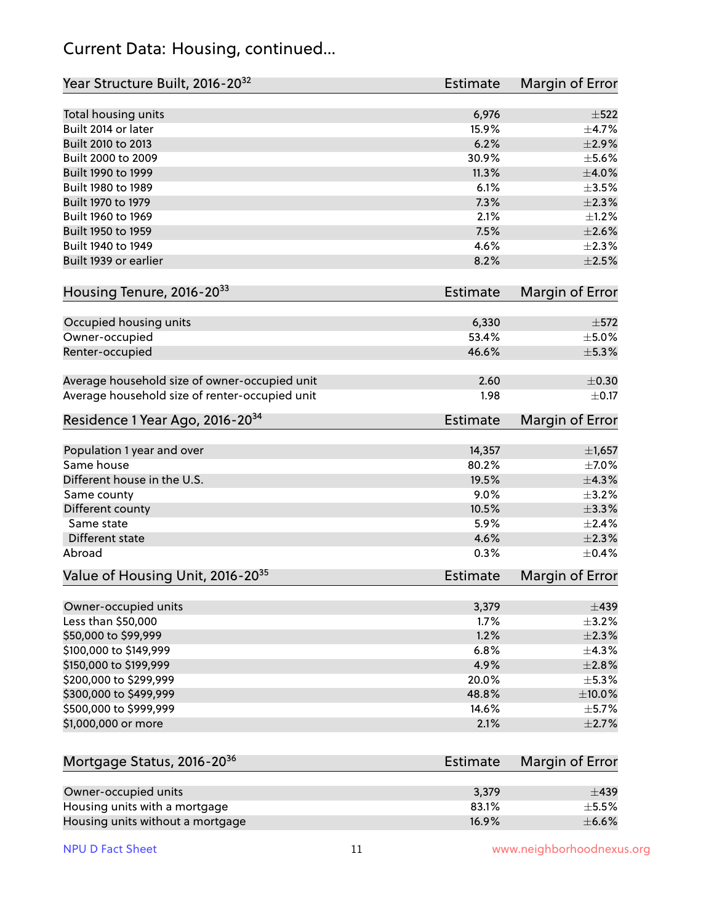#### Current Data: Housing, continued...

| Year Structure Built, 2016-20 <sup>32</sup>    | <b>Estimate</b> | Margin of Error        |
|------------------------------------------------|-----------------|------------------------|
| Total housing units                            | 6,976           | $\pm$ 522              |
| Built 2014 or later                            | 15.9%           | ±4.7%                  |
| Built 2010 to 2013                             | 6.2%            | $\pm 2.9\%$            |
| Built 2000 to 2009                             | 30.9%           | $\pm$ 5.6%             |
| Built 1990 to 1999                             | 11.3%           | $\pm 4.0\%$            |
| Built 1980 to 1989                             | 6.1%            | $\pm$ 3.5%             |
| Built 1970 to 1979                             | 7.3%            | $\pm 2.3\%$            |
| Built 1960 to 1969                             | 2.1%            | $\pm$ 1.2%             |
| Built 1950 to 1959                             | 7.5%            | $\pm 2.6\%$            |
| Built 1940 to 1949                             | 4.6%            | $\pm 2.3\%$            |
| Built 1939 or earlier                          | 8.2%            | $\pm 2.5\%$            |
| Housing Tenure, 2016-2033                      | <b>Estimate</b> | Margin of Error        |
| Occupied housing units                         | 6,330           | $\pm$ 572              |
| Owner-occupied                                 | 53.4%           | $\pm$ 5.0%             |
| Renter-occupied                                | 46.6%           | $\pm$ 5.3%             |
| Average household size of owner-occupied unit  | 2.60            | $\pm$ 0.30             |
| Average household size of renter-occupied unit | 1.98            | $\pm$ 0.17             |
| Residence 1 Year Ago, 2016-20 <sup>34</sup>    | <b>Estimate</b> | <b>Margin of Error</b> |
| Population 1 year and over                     | 14,357          | ±1,657                 |
| Same house                                     | 80.2%           | $\pm$ 7.0%             |
| Different house in the U.S.                    | 19.5%           | $\pm$ 4.3%             |
| Same county                                    | 9.0%            | $\pm$ 3.2%             |
| Different county                               | 10.5%           | ±3.3%                  |
| Same state                                     | 5.9%            | $\pm 2.4\%$            |
| Different state                                | 4.6%            | $\pm 2.3\%$            |
| Abroad                                         | 0.3%            | $\pm$ 0.4%             |
| Value of Housing Unit, 2016-20 <sup>35</sup>   | Estimate        | Margin of Error        |
| Owner-occupied units                           | 3,379           | $\pm$ 439              |
| Less than \$50,000                             | 1.7%            | $\pm$ 3.2%             |
| \$50,000 to \$99,999                           | 1.2%            | $\pm 2.3\%$            |
| \$100,000 to \$149,999                         | 6.8%            | ±4.3%                  |
| \$150,000 to \$199,999                         | 4.9%            | $\pm 2.8\%$            |
| \$200,000 to \$299,999                         | 20.0%           | ±5.3%                  |
| \$300,000 to \$499,999                         | 48.8%           | $\pm$ 10.0%            |
| \$500,000 to \$999,999                         | 14.6%           | $\pm$ 5.7%             |
| \$1,000,000 or more                            | 2.1%            | $\pm 2.7\%$            |
| Mortgage Status, 2016-20 <sup>36</sup>         | <b>Estimate</b> | Margin of Error        |
| Owner-occupied units                           | 3,379           | $\pm$ 439              |
| Housing units with a mortgage                  | 83.1%           | $\pm$ 5.5%             |

Housing units without a mortgage  $\pm 6.6\%$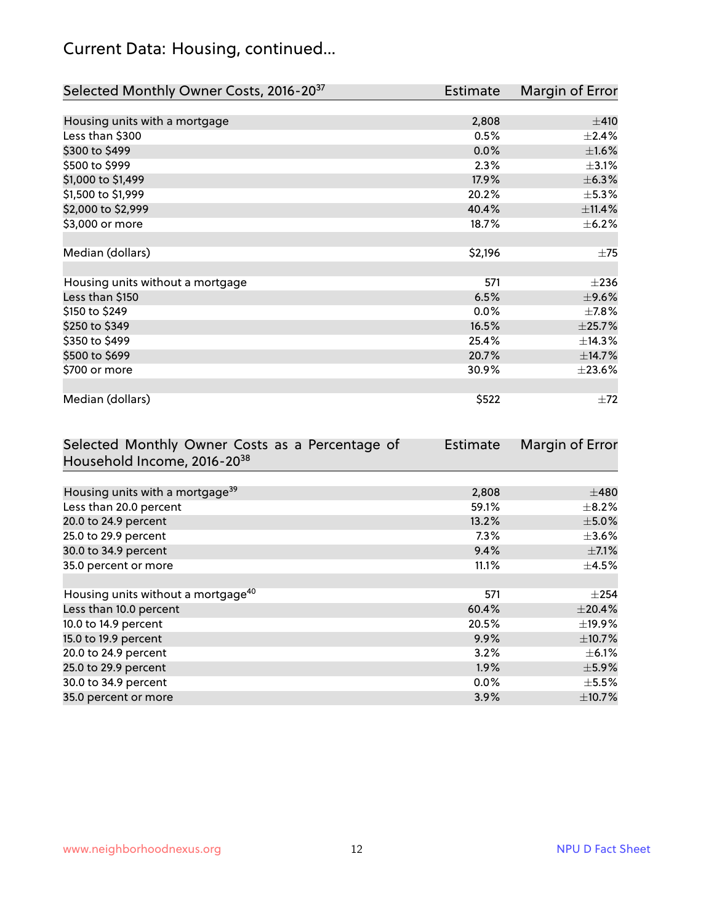## Current Data: Housing, continued...

| Selected Monthly Owner Costs, 2016-20 <sup>37</sup> | Estimate | Margin of Error |
|-----------------------------------------------------|----------|-----------------|
|                                                     |          |                 |
| Housing units with a mortgage                       | 2,808    | ±410            |
| Less than \$300                                     | 0.5%     | $\pm 2.4\%$     |
| \$300 to \$499                                      | 0.0%     | $\pm1.6\%$      |
| \$500 to \$999                                      | 2.3%     | $\pm$ 3.1%      |
| \$1,000 to \$1,499                                  | 17.9%    | ±6.3%           |
| \$1,500 to \$1,999                                  | 20.2%    | $\pm$ 5.3%      |
| \$2,000 to \$2,999                                  | 40.4%    | ±11.4%          |
| \$3,000 or more                                     | 18.7%    | $\pm$ 6.2%      |
|                                                     |          |                 |
| Median (dollars)                                    | \$2,196  | $\pm 75$        |
|                                                     |          |                 |
| Housing units without a mortgage                    | 571      | $\pm 236$       |
| Less than \$150                                     | 6.5%     | $\pm$ 9.6%      |
| \$150 to \$249                                      | $0.0\%$  | $\pm$ 7.8%      |
| \$250 to \$349                                      | 16.5%    | ±25.7%          |
| \$350 to \$499                                      | 25.4%    | ±14.3%          |
| \$500 to \$699                                      | 20.7%    | ±14.7%          |
| \$700 or more                                       | 30.9%    | ±23.6%          |
|                                                     |          |                 |
| Median (dollars)                                    | \$522    | $\pm 72$        |

| Selected Monthly Owner Costs as a Percentage of | <b>Estimate</b> | Margin of Error |
|-------------------------------------------------|-----------------|-----------------|
| Household Income, 2016-20 <sup>38</sup>         |                 |                 |
|                                                 |                 |                 |
| Housing units with a mortgage <sup>39</sup>     | 2,808           | $\pm 480$       |
| Less than 20.0 percent                          | 59.1%           | $\pm$ 8.2%      |
| 20.0 to 24.9 percent                            | 13.2%           | $\pm$ 5.0%      |
| 25.0 to 29.9 percent                            | $7.3\%$         | $\pm 3.6\%$     |
| 30.0 to 34.9 percent                            | 9.4%            | $\pm$ 7.1%      |
| 35.0 percent or more                            | 11.1%           | $\pm$ 4.5%      |
|                                                 |                 |                 |
| Housing units without a mortgage <sup>40</sup>  | 571             | $\pm 254$       |
| Less than 10.0 percent                          | 60.4%           | $\pm 20.4\%$    |
| 10.0 to 14.9 percent                            | 20.5%           | $\pm$ 19.9%     |
| 15.0 to 19.9 percent                            | 9.9%            | $\pm$ 10.7%     |
| 20.0 to 24.9 percent                            | 3.2%            | $\pm$ 6.1%      |
| 25.0 to 29.9 percent                            | 1.9%            | $\pm$ 5.9%      |
| 30.0 to 34.9 percent                            | $0.0\%$         | $\pm$ 5.5%      |
| 35.0 percent or more                            | 3.9%            | $\pm$ 10.7%     |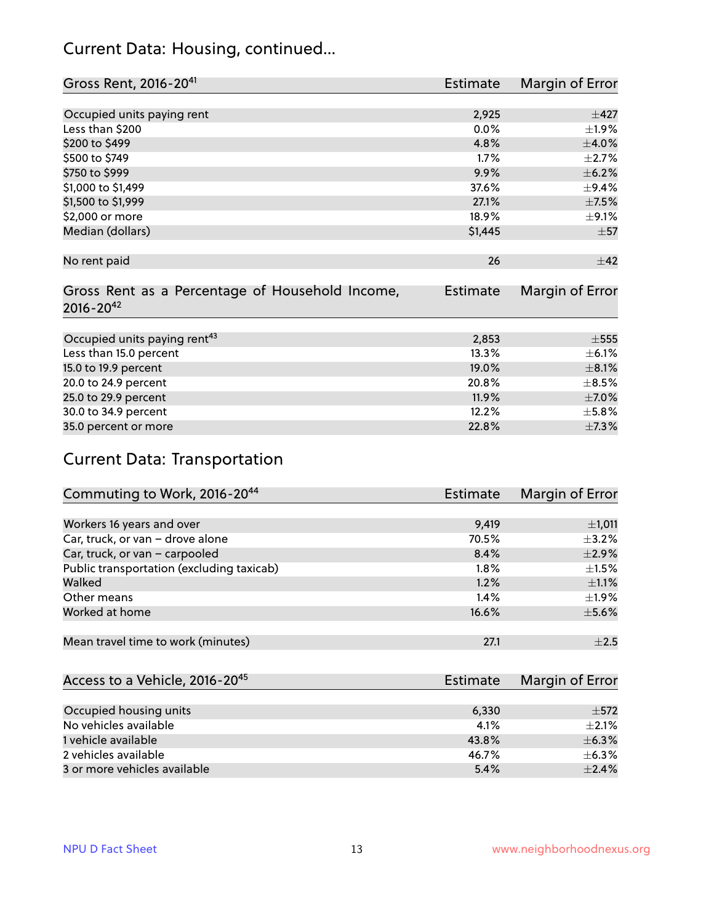#### Current Data: Housing, continued...

| Gross Rent, 2016-20 <sup>41</sup>                                   | <b>Estimate</b> | Margin of Error |
|---------------------------------------------------------------------|-----------------|-----------------|
|                                                                     |                 |                 |
| Occupied units paying rent                                          | 2,925           | $\pm$ 427       |
| Less than \$200                                                     | 0.0%            | $\pm 1.9\%$     |
| \$200 to \$499                                                      | 4.8%            | $\pm$ 4.0%      |
| \$500 to \$749                                                      | 1.7%            | $\pm 2.7\%$     |
| \$750 to \$999                                                      | 9.9%            | $\pm$ 6.2%      |
| \$1,000 to \$1,499                                                  | 37.6%           | $\pm$ 9.4%      |
| \$1,500 to \$1,999                                                  | 27.1%           | $\pm$ 7.5%      |
| \$2,000 or more                                                     | 18.9%           | $\pm$ 9.1%      |
| Median (dollars)                                                    | \$1,445         | $\pm$ 57        |
| No rent paid                                                        | 26              | ±42             |
| Gross Rent as a Percentage of Household Income,<br>$2016 - 20^{42}$ | <b>Estimate</b> | Margin of Error |
| Occupied units paying rent <sup>43</sup>                            | 2,853           | $\pm$ 555       |
| Less than 15.0 percent                                              | 13.3%           | $\pm$ 6.1%      |
| 15.0 to 19.9 percent                                                | 19.0%           | $\pm$ 8.1%      |
| 20.0 to 24.9 percent                                                | 20.8%           | $\pm$ 8.5%      |
| 25.0 to 29.9 percent                                                | 11.9%           | $\pm$ 7.0%      |
| 30.0 to 34.9 percent                                                | 12.2%           | $\pm$ 5.8%      |
| 35.0 percent or more                                                | 22.8%           | $\pm$ 7.3%      |

## Current Data: Transportation

| Commuting to Work, 2016-20 <sup>44</sup>  | <b>Estimate</b> | Margin of Error |
|-------------------------------------------|-----------------|-----------------|
|                                           |                 |                 |
| Workers 16 years and over                 | 9,419           | ±1,011          |
| Car, truck, or van - drove alone          | 70.5%           | $\pm$ 3.2%      |
| Car, truck, or van - carpooled            | 8.4%            | $\pm 2.9\%$     |
| Public transportation (excluding taxicab) | 1.8%            | $\pm 1.5\%$     |
| Walked                                    | 1.2%            | $\pm 1.1\%$     |
| Other means                               | $1.4\%$         | $\pm 1.9\%$     |
| Worked at home                            | 16.6%           | $\pm$ 5.6%      |
|                                           |                 |                 |
| Mean travel time to work (minutes)        | 27.1            | $\pm 2.5$       |

| Access to a Vehicle, 2016-20 <sup>45</sup> | Estimate | Margin of Error |
|--------------------------------------------|----------|-----------------|
|                                            |          |                 |
| Occupied housing units                     | 6,330    | $\pm$ 572       |
| No vehicles available                      | 4.1%     | $+2.1%$         |
| 1 vehicle available                        | 43.8%    | $\pm$ 6.3%      |
| 2 vehicles available                       | 46.7%    | $\pm$ 6.3%      |
| 3 or more vehicles available               | 5.4%     | $\pm$ 2.4%      |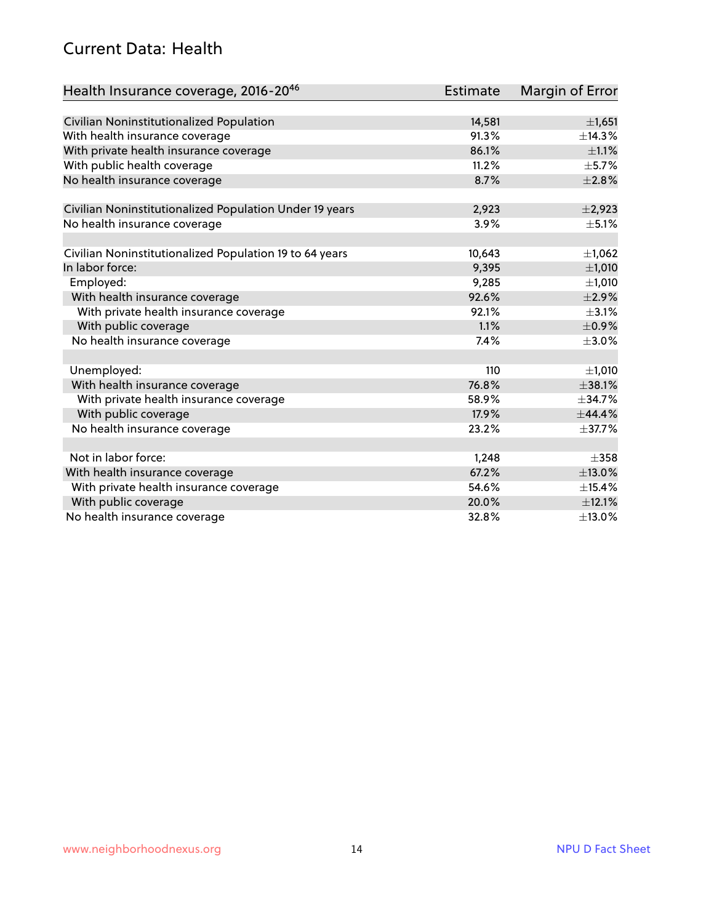#### Current Data: Health

| Health Insurance coverage, 2016-2046                    | <b>Estimate</b> | Margin of Error |
|---------------------------------------------------------|-----------------|-----------------|
|                                                         |                 |                 |
| Civilian Noninstitutionalized Population                | 14,581          | $\pm$ 1,651     |
| With health insurance coverage                          | 91.3%           | ±14.3%          |
| With private health insurance coverage                  | 86.1%           | $\pm 1.1\%$     |
| With public health coverage                             | 11.2%           | $\pm$ 5.7%      |
| No health insurance coverage                            | 8.7%            | $\pm 2.8\%$     |
| Civilian Noninstitutionalized Population Under 19 years | 2,923           | $\pm$ 2,923     |
| No health insurance coverage                            | 3.9%            | $\pm$ 5.1%      |
|                                                         |                 |                 |
| Civilian Noninstitutionalized Population 19 to 64 years | 10,643          | ±1,062          |
| In labor force:                                         | 9,395           | ±1,010          |
| Employed:                                               | 9,285           | $\pm$ 1,010     |
| With health insurance coverage                          | 92.6%           | $\pm 2.9\%$     |
| With private health insurance coverage                  | 92.1%           | $\pm$ 3.1%      |
| With public coverage                                    | 1.1%            | $\pm$ 0.9%      |
| No health insurance coverage                            | 7.4%            | $\pm 3.0\%$     |
|                                                         |                 |                 |
| Unemployed:                                             | 110             | $\pm 1,010$     |
| With health insurance coverage                          | 76.8%           | ±38.1%          |
| With private health insurance coverage                  | 58.9%           | ±34.7%          |
| With public coverage                                    | 17.9%           | ±44.4%          |
| No health insurance coverage                            | 23.2%           | $\pm$ 37.7%     |
|                                                         |                 |                 |
| Not in labor force:                                     | 1,248           | $\pm$ 358       |
| With health insurance coverage                          | 67.2%           | $\pm$ 13.0%     |
| With private health insurance coverage                  | 54.6%           | ±15.4%          |
| With public coverage                                    | 20.0%           | $\pm$ 12.1%     |
| No health insurance coverage                            | 32.8%           | ±13.0%          |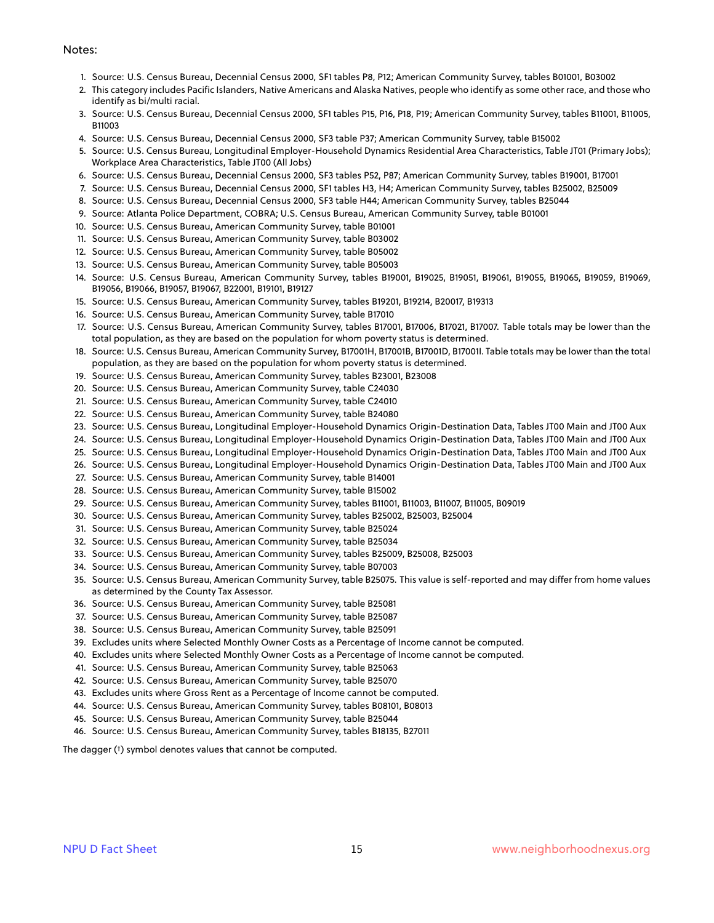#### Notes:

- 1. Source: U.S. Census Bureau, Decennial Census 2000, SF1 tables P8, P12; American Community Survey, tables B01001, B03002
- 2. This category includes Pacific Islanders, Native Americans and Alaska Natives, people who identify as some other race, and those who identify as bi/multi racial.
- 3. Source: U.S. Census Bureau, Decennial Census 2000, SF1 tables P15, P16, P18, P19; American Community Survey, tables B11001, B11005, B11003
- 4. Source: U.S. Census Bureau, Decennial Census 2000, SF3 table P37; American Community Survey, table B15002
- 5. Source: U.S. Census Bureau, Longitudinal Employer-Household Dynamics Residential Area Characteristics, Table JT01 (Primary Jobs); Workplace Area Characteristics, Table JT00 (All Jobs)
- 6. Source: U.S. Census Bureau, Decennial Census 2000, SF3 tables P52, P87; American Community Survey, tables B19001, B17001
- 7. Source: U.S. Census Bureau, Decennial Census 2000, SF1 tables H3, H4; American Community Survey, tables B25002, B25009
- 8. Source: U.S. Census Bureau, Decennial Census 2000, SF3 table H44; American Community Survey, tables B25044
- 9. Source: Atlanta Police Department, COBRA; U.S. Census Bureau, American Community Survey, table B01001
- 10. Source: U.S. Census Bureau, American Community Survey, table B01001
- 11. Source: U.S. Census Bureau, American Community Survey, table B03002
- 12. Source: U.S. Census Bureau, American Community Survey, table B05002
- 13. Source: U.S. Census Bureau, American Community Survey, table B05003
- 14. Source: U.S. Census Bureau, American Community Survey, tables B19001, B19025, B19051, B19061, B19055, B19065, B19059, B19069, B19056, B19066, B19057, B19067, B22001, B19101, B19127
- 15. Source: U.S. Census Bureau, American Community Survey, tables B19201, B19214, B20017, B19313
- 16. Source: U.S. Census Bureau, American Community Survey, table B17010
- 17. Source: U.S. Census Bureau, American Community Survey, tables B17001, B17006, B17021, B17007. Table totals may be lower than the total population, as they are based on the population for whom poverty status is determined.
- 18. Source: U.S. Census Bureau, American Community Survey, B17001H, B17001B, B17001D, B17001I. Table totals may be lower than the total population, as they are based on the population for whom poverty status is determined.
- 19. Source: U.S. Census Bureau, American Community Survey, tables B23001, B23008
- 20. Source: U.S. Census Bureau, American Community Survey, table C24030
- 21. Source: U.S. Census Bureau, American Community Survey, table C24010
- 22. Source: U.S. Census Bureau, American Community Survey, table B24080
- 23. Source: U.S. Census Bureau, Longitudinal Employer-Household Dynamics Origin-Destination Data, Tables JT00 Main and JT00 Aux
- 24. Source: U.S. Census Bureau, Longitudinal Employer-Household Dynamics Origin-Destination Data, Tables JT00 Main and JT00 Aux
- 25. Source: U.S. Census Bureau, Longitudinal Employer-Household Dynamics Origin-Destination Data, Tables JT00 Main and JT00 Aux
- 26. Source: U.S. Census Bureau, Longitudinal Employer-Household Dynamics Origin-Destination Data, Tables JT00 Main and JT00 Aux
- 27. Source: U.S. Census Bureau, American Community Survey, table B14001
- 28. Source: U.S. Census Bureau, American Community Survey, table B15002
- 29. Source: U.S. Census Bureau, American Community Survey, tables B11001, B11003, B11007, B11005, B09019
- 30. Source: U.S. Census Bureau, American Community Survey, tables B25002, B25003, B25004
- 31. Source: U.S. Census Bureau, American Community Survey, table B25024
- 32. Source: U.S. Census Bureau, American Community Survey, table B25034
- 33. Source: U.S. Census Bureau, American Community Survey, tables B25009, B25008, B25003
- 34. Source: U.S. Census Bureau, American Community Survey, table B07003
- 35. Source: U.S. Census Bureau, American Community Survey, table B25075. This value is self-reported and may differ from home values as determined by the County Tax Assessor.
- 36. Source: U.S. Census Bureau, American Community Survey, table B25081
- 37. Source: U.S. Census Bureau, American Community Survey, table B25087
- 38. Source: U.S. Census Bureau, American Community Survey, table B25091
- 39. Excludes units where Selected Monthly Owner Costs as a Percentage of Income cannot be computed.
- 40. Excludes units where Selected Monthly Owner Costs as a Percentage of Income cannot be computed.
- 41. Source: U.S. Census Bureau, American Community Survey, table B25063
- 42. Source: U.S. Census Bureau, American Community Survey, table B25070
- 43. Excludes units where Gross Rent as a Percentage of Income cannot be computed.
- 44. Source: U.S. Census Bureau, American Community Survey, tables B08101, B08013
- 45. Source: U.S. Census Bureau, American Community Survey, table B25044
- 46. Source: U.S. Census Bureau, American Community Survey, tables B18135, B27011

The dagger (†) symbol denotes values that cannot be computed.